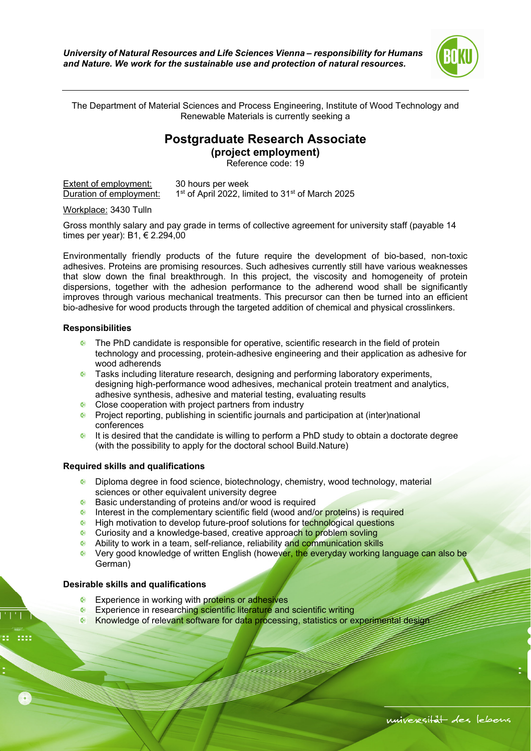

The Department of Material Sciences and Process Engineering, Institute of Wood Technology and Renewable Materials is currently seeking a

## **Postgraduate Research Associate**

**(project employment)** 

Reference code: 19

| Extent of employment:   | 30 hours per week                                                        |
|-------------------------|--------------------------------------------------------------------------|
| Duration of employment: | 1 <sup>st</sup> of April 2022, limited to 31 <sup>st</sup> of March 2025 |

Workplace: 3430 Tulln

Gross monthly salary and pay grade in terms of collective agreement for university staff (payable 14 times per year): B1, € 2.294,00

Environmentally friendly products of the future require the development of bio-based, non-toxic adhesives. Proteins are promising resources. Such adhesives currently still have various weaknesses that slow down the final breakthrough. In this project, the viscosity and homogeneity of protein dispersions, together with the adhesion performance to the adherend wood shall be significantly improves through various mechanical treatments. This precursor can then be turned into an efficient bio-adhesive for wood products through the targeted addition of chemical and physical crosslinkers.

## **Responsibilities**

- **•** The PhD candidate is responsible for operative, scientific research in the field of protein technology and processing, protein-adhesive engineering and their application as adhesive for wood adherends
- **•** Tasks including literature research, designing and performing laboratory experiments, designing high-performance wood adhesives, mechanical protein treatment and analytics, adhesive synthesis, adhesive and material testing, evaluating results
- Close cooperation with project partners from industry
- **Project reporting, publishing in scientific journals and participation at (inter)national** conferences
- It is desired that the candidate is willing to perform a PhD study to obtain a doctorate degree (with the possibility to apply for the doctoral school Build.Nature)

## **Required skills and qualifications**

- Diploma degree in food science, biotechnology, chemistry, wood technology, material sciences or other equivalent university degree
- Basic understanding of proteins and/or wood is required
- Interest in the complementary scientific field (wood and/or proteins) is required
- **Inter-** High motivation to develop future-proof solutions for technological questions
- Curiosity and a knowledge-based, creative approach to problem sovling
- Ability to work in a team, self-reliance, reliability and communication skills
- Very good knowledge of written English (however, the everyday working language can also be German)

## **Desirable skills and qualifications**

- **Experience in working with proteins or adhesives**
- **Experience in researching scientific literature and scientific writing**
- Knowledge of relevant software for data processing, statistics or experimental design

ś